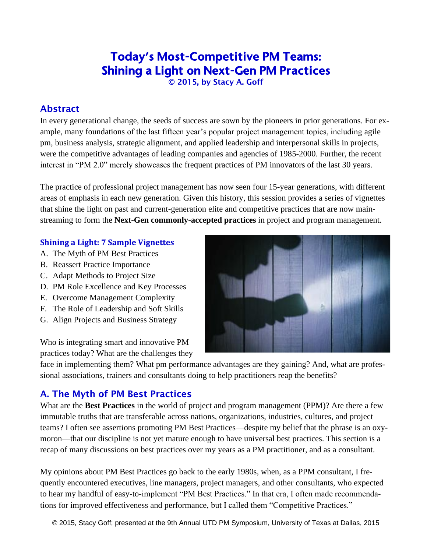# Today's Most-Competitive PM Teams: Shining a Light on Next-Gen PM Practices

© 2015, by Stacy A. Goff

### Abstract

In every generational change, the seeds of success are sown by the pioneers in prior generations. For example, many foundations of the last fifteen year's popular project management topics, including agile pm, business analysis, strategic alignment, and applied leadership and interpersonal skills in projects, were the competitive advantages of leading companies and agencies of 1985-2000. Further, the recent interest in "PM 2.0" merely showcases the frequent practices of PM innovators of the last 30 years.

The practice of professional project management has now seen four 15-year generations, with different areas of emphasis in each new generation. Given this history, this session provides a series of vignettes that shine the light on past and current-generation elite and competitive practices that are now mainstreaming to form the **Next-Gen commonly-accepted practices** in project and program management.

#### **Shining a Light: 7 Sample Vignettes**

- A. The Myth of PM Best Practices
- B. Reassert Practice Importance
- C. Adapt Methods to Project Size
- D. PM Role Excellence and Key Processes
- E. Overcome Management Complexity
- F. The Role of Leadership and Soft Skills
- G. Align Projects and Business Strategy

Who is integrating smart and innovative PM practices today? What are the challenges they

face in implementing them? What pm performance advantages are they gaining? And, what are professional associations, trainers and consultants doing to help practitioners reap the benefits?

### A. The Myth of PM Best Practices

What are the **Best Practices** in the world of project and program management (PPM)? Are there a few immutable truths that are transferable across nations, organizations, industries, cultures, and project teams? I often see assertions promoting PM Best Practices—despite my belief that the phrase is an oxymoron—that our discipline is not yet mature enough to have universal best practices. This section is a recap of many discussions on best practices over my years as a PM practitioner, and as a consultant.

My opinions about PM Best Practices go back to the early 1980s, when, as a PPM consultant, I frequently encountered executives, line managers, project managers, and other consultants, who expected to hear my handful of easy-to-implement "PM Best Practices." In that era, I often made recommendations for improved effectiveness and performance, but I called them "Competitive Practices."

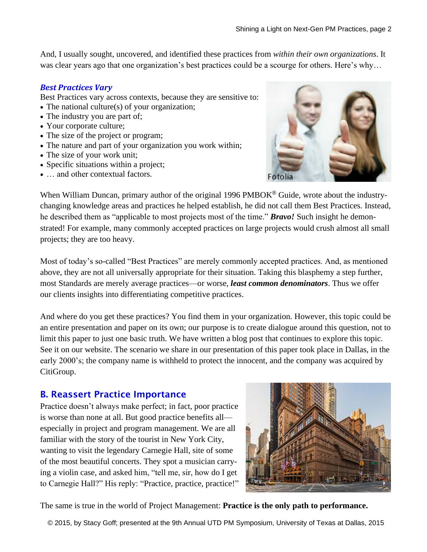And, I usually sought, uncovered, and identified these practices from *within their own organizations*. It was clear years ago that one organization's best practices could be a scourge for others. Here's why...

#### *Best Practices Vary*

Best Practices vary across contexts, because they are sensitive to:

- The national culture(s) of your organization;
- The industry you are part of;
- Your corporate culture;
- The size of the project or program;
- The nature and part of your organization you work within;
- The size of your work unit;
- Specific situations within a project;
- ... and other contextual factors.



When William Duncan, primary author of the original 1996 PMBOK® Guide, wrote about the industrychanging knowledge areas and practices he helped establish, he did not call them Best Practices. Instead, he described them as "applicable to most projects most of the time." *Bravo!* Such insight he demonstrated! For example, many commonly accepted practices on large projects would crush almost all small projects; they are too heavy.

Most of today's so-called "Best Practices" are merely commonly accepted practices. And, as mentioned above, they are not all universally appropriate for their situation. Taking this blasphemy a step further, most Standards are merely average practices—or worse, *least common denominators*. Thus we offer our clients insights into differentiating competitive practices.

And where do you get these practices? You find them in your organization. However, this topic could be an entire presentation and paper on its own; our purpose is to create dialogue around this question, not to limit this paper to just one basic truth. We have written a blog post that continues to explore this topic. See it on our website. The scenario we share in our presentation of this paper took place in Dallas, in the early 2000's; the company name is withheld to protect the innocent, and the company was acquired by CitiGroup.

### B. Reassert Practice Importance

Practice doesn't always make perfect; in fact, poor practice is worse than none at all. But good practice benefits all especially in project and program management. We are all familiar with the story of the tourist in New York City, wanting to visit the legendary Carnegie Hall, site of some of the most beautiful concerts. They spot a musician carrying a violin case, and asked him, "tell me, sir, how do I get to Carnegie Hall?" His reply: "Practice, practice, practice!"



The same is true in the world of Project Management: **Practice is the only path to performance.**

© 2015, by Stacy Goff; presented at the 9th Annual UTD PM Symposium, University of Texas at Dallas, 2015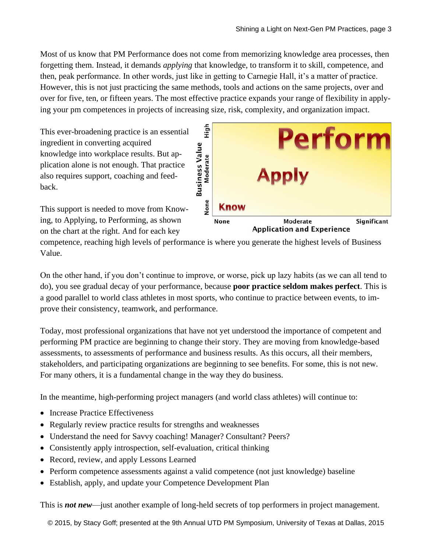Most of us know that PM Performance does not come from memorizing knowledge area processes, then forgetting them. Instead, it demands *applying* that knowledge, to transform it to skill, competence, and then, peak performance. In other words, just like in getting to Carnegie Hall, it's a matter of practice. However, this is not just practicing the same methods, tools and actions on the same projects, over and over for five, ten, or fifteen years. The most effective practice expands your range of flexibility in applying your pm competences in projects of increasing size, risk, complexity, and organization impact.

This ever-broadening practice is an essential ingredient in converting acquired knowledge into workplace results. But application alone is not enough. That practice also requires support, coaching and feedback.

This support is needed to move from Knowing, to Applying, to Performing, as shown on the chart at the right. And for each key



competence, reaching high levels of performance is where you generate the highest levels of Business Value.

On the other hand, if you don't continue to improve, or worse, pick up lazy habits (as we can all tend to do), you see gradual decay of your performance, because **poor practice seldom makes perfect**. This is a good parallel to world class athletes in most sports, who continue to practice between events, to improve their consistency, teamwork, and performance.

Today, most professional organizations that have not yet understood the importance of competent and performing PM practice are beginning to change their story. They are moving from knowledge-based assessments, to assessments of performance and business results. As this occurs, all their members, stakeholders, and participating organizations are beginning to see benefits. For some, this is not new. For many others, it is a fundamental change in the way they do business.

In the meantime, high-performing project managers (and world class athletes) will continue to:

- Increase Practice Effectiveness
- Regularly review practice results for strengths and weaknesses
- Understand the need for Savvy coaching! Manager? Consultant? Peers?
- Consistently apply introspection, self-evaluation, critical thinking
- Record, review, and apply Lessons Learned
- Perform competence assessments against a valid competence (not just knowledge) baseline
- Establish, apply, and update your Competence Development Plan

This is *not new*—just another example of long-held secrets of top performers in project management.

© 2015, by Stacy Goff; presented at the 9th Annual UTD PM Symposium, University of Texas at Dallas, 2015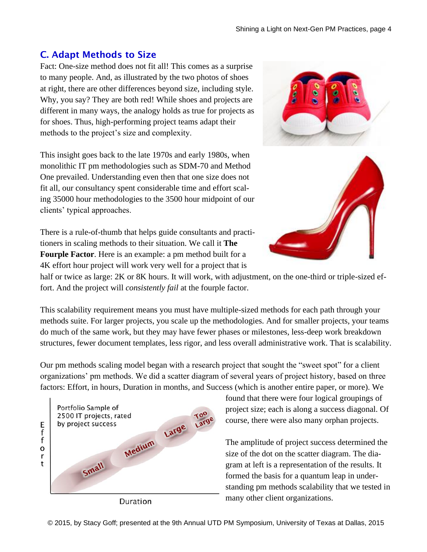## C. Adapt Methods to Size

Fact: One-size method does not fit all! This comes as a surprise to many people. And, as illustrated by the two photos of shoes at right, there are other differences beyond size, including style. Why, you say? They are both red! While shoes and projects are different in many ways, the analogy holds as true for projects as for shoes. Thus, high-performing project teams adapt their methods to the project's size and complexity.

This insight goes back to the late 1970s and early 1980s, when monolithic IT pm methodologies such as SDM-70 and Method One prevailed. Understanding even then that one size does not fit all, our consultancy spent considerable time and effort scaling 35000 hour methodologies to the 3500 hour midpoint of our clients' typical approaches.

There is a rule-of-thumb that helps guide consultants and practitioners in scaling methods to their situation. We call it **The Fourple Factor**. Here is an example: a pm method built for a 4K effort hour project will work very well for a project that is

half or twice as large: 2K or 8K hours. It will work, with adjustment, on the one-third or triple-sized effort. And the project will *consistently fail* at the fourple factor.

This scalability requirement means you must have multiple-sized methods for each path through your methods suite. For larger projects, you scale up the methodologies. And for smaller projects, your teams do much of the same work, but they may have fewer phases or milestones, less-deep work breakdown structures, fewer document templates, less rigor, and less overall administrative work. That is scalability.

Our pm methods scaling model began with a research project that sought the "sweet spot" for a client organizations' pm methods. We did a scatter diagram of several years of project history, based on three factors: Effort, in hours, Duration in months, and Success (which is another entire paper, or more). We

E<br>f f o r t



Duration

found that there were four logical groupings of project size; each is along a success diagonal. Of course, there were also many orphan projects.

The amplitude of project success determined the size of the dot on the scatter diagram. The diagram at left is a representation of the results. It formed the basis for a quantum leap in understanding pm methods scalability that we tested in many other client organizations.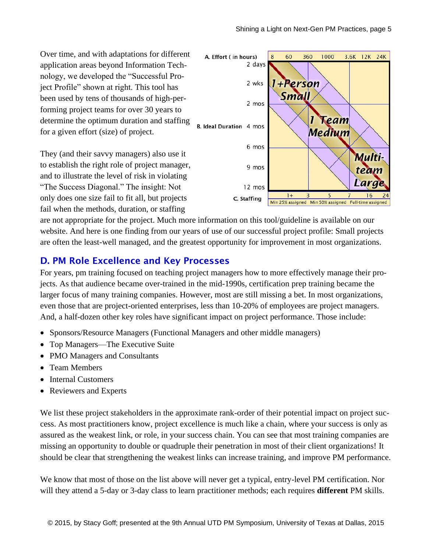Over time, and with adaptations for different application areas beyond Information Technology, we developed the "Successful Project Profile" shown at right. This tool has been used by tens of thousands of high-performing project teams for over 30 years to determine the optimum duration and staffing for a given effort (size) of project.

They (and their savvy managers) also use it to establish the right role of project manager, and to illustrate the level of risk in violating "The Success Diagonal." The insight: Not only does one size fail to fit all, but projects fail when the methods, duration, or staffing



are not appropriate for the project. Much more information on this tool/guideline is available on our website. And here is one finding from our years of use of our successful project profile: Small projects are often the least-well managed, and the greatest opportunity for improvement in most organizations.

### D. PM Role Excellence and Key Processes

For years, pm training focused on teaching project managers how to more effectively manage their projects. As that audience became over-trained in the mid-1990s, certification prep training became the larger focus of many training companies. However, most are still missing a bet. In most organizations, even those that are project-oriented enterprises, less than 10-20% of employees are project managers. And, a half-dozen other key roles have significant impact on project performance. Those include:

- Sponsors/Resource Managers (Functional Managers and other middle managers)
- Top Managers—The Executive Suite
- PMO Managers and Consultants
- Team Members
- Internal Customers
- Reviewers and Experts

We list these project stakeholders in the approximate rank-order of their potential impact on project success. As most practitioners know, project excellence is much like a chain, where your success is only as assured as the weakest link, or role, in your success chain. You can see that most training companies are missing an opportunity to double or quadruple their penetration in most of their client organizations! It should be clear that strengthening the weakest links can increase training, and improve PM performance.

We know that most of those on the list above will never get a typical, entry-level PM certification. Nor will they attend a 5-day or 3-day class to learn practitioner methods; each requires **different** PM skills.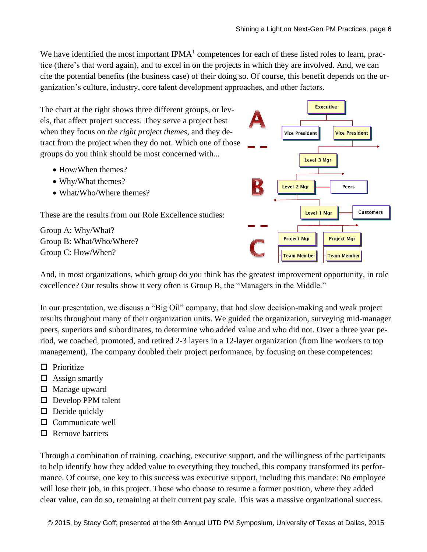We have identified the most important IPMA $<sup>1</sup>$  competences for each of these listed roles to learn, prac-</sup> tice (there's that word again), and to excel in on the projects in which they are involved. And, we can cite the potential benefits (the business case) of their doing so. Of course, this benefit depends on the organization's culture, industry, core talent development approaches, and other factors.



And, in most organizations, which group do you think has the greatest improvement opportunity, in role excellence? Our results show it very often is Group B, the "Managers in the Middle."

In our presentation, we discuss a "Big Oil" company, that had slow decision-making and weak project results throughout many of their organization units. We guided the organization, surveying mid-manager peers, superiors and subordinates, to determine who added value and who did not. Over a three year period, we coached, promoted, and retired 2-3 layers in a 12-layer organization (from line workers to top management), The company doubled their project performance, by focusing on these competences:

- $\Box$  Prioritize
- $\Box$  Assign smartly
- $\Box$  Manage upward
- $\square$  Develop PPM talent
- $\Box$  Decide quickly
- $\square$  Communicate well
- $\Box$  Remove barriers

Through a combination of training, coaching, executive support, and the willingness of the participants to help identify how they added value to everything they touched, this company transformed its performance. Of course, one key to this success was executive support, including this mandate: No employee will lose their job, in this project. Those who choose to resume a former position, where they added clear value, can do so, remaining at their current pay scale. This was a massive organizational success.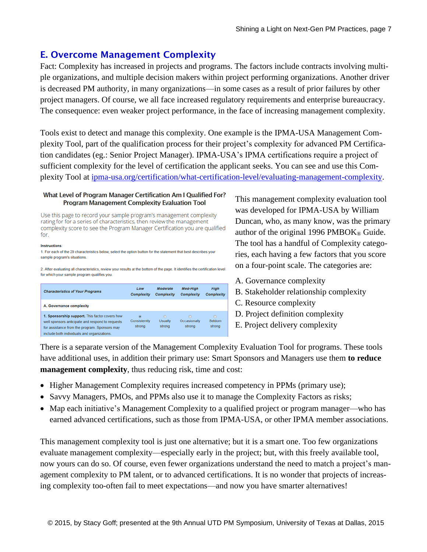### E. Overcome Management Complexity

Fact: Complexity has increased in projects and programs. The factors include contracts involving multiple organizations, and multiple decision makers within project performing organizations. Another driver is decreased PM authority, in many organizations—in some cases as a result of prior failures by other project managers. Of course, we all face increased regulatory requirements and enterprise bureaucracy. The consequence: even weaker project performance, in the face of increasing management complexity.

Tools exist to detect and manage this complexity. One example is the IPMA-USA Management Complexity Tool, part of the qualification process for their project's complexity for advanced PM Certification candidates (eg.: Senior Project Manager). IPMA-USA's IPMA certifications require a project of sufficient complexity for the level of certification the applicant seeks. You can see and use this Complexity Tool at [ipma-usa.org/certification/what-certification-level/evaluating-management-complexity.](http://www.ipma-usa.org/certification/what-certification-level/evaluating-management-complexity)

#### What Level of Program Manager Certification Am I Qualified For? Program Management Complexity Evaluation Tool

Use this page to record your sample program's management complexity rating for for a series of characteristics, then review the management complexity score to see the Program Manager Certification you are qualified for.

#### **Instructions**

1. For each of the 29 characteristics below, select the option button for the statement that best describes your sample program's situations

2. After evaluating all characteristics, review your results at the bottom of the page. It identifies the certification level for which your sample program qualifies you.

| <b>Characteristics of Your Programs</b>                                                                                                                                                            | Low<br><b>Complexity</b>           | <b>Moderate</b><br>Complexity       | <b>Med-High</b><br><b>Complexity</b> | High<br><b>Complexity</b>   |
|----------------------------------------------------------------------------------------------------------------------------------------------------------------------------------------------------|------------------------------------|-------------------------------------|--------------------------------------|-----------------------------|
| A. Governance complexity                                                                                                                                                                           |                                    |                                     |                                      |                             |
| 1. Sponsorship support. This factor covers how<br>well sponsors anticipate and respond to requests<br>for assistance from the program. Sponsors may<br>include both individuals and organizations. | $\alpha$<br>Consistently<br>strong | $\odot$<br><b>Usually</b><br>strong | n<br>Occasionally<br>strong          | $\odot$<br>Seldom<br>strong |

This management complexity evaluation tool was developed for IPMA-USA by William Duncan, who, as many know, was the primary author of the original 1996 PMBOK<sup>®</sup> Guide. The tool has a handful of Complexity categories, each having a few factors that you score on a four-point scale. The categories are:

- A. Governance complexity
- B. Stakeholder relationship complexity
- C. Resource complexity
- D. Project definition complexity
- E. Project delivery complexity

There is a separate version of the Management Complexity Evaluation Tool for programs. These tools have additional uses, in addition their primary use: Smart Sponsors and Managers use them **to reduce management complexity**, thus reducing risk, time and cost:

- Higher Management Complexity requires increased competency in PPMs (primary use);
- Savvy Managers, PMOs, and PPMs also use it to manage the Complexity Factors as risks;
- Map each initiative's Management Complexity to a qualified project or program manager—who has earned advanced certifications, such as those from IPMA-USA, or other IPMA member associations.

This management complexity tool is just one alternative; but it is a smart one. Too few organizations evaluate management complexity—especially early in the project; but, with this freely available tool, now yours can do so. Of course, even fewer organizations understand the need to match a project's management complexity to PM talent, or to advanced certifications. It is no wonder that projects of increasing complexity too-often fail to meet expectations—and now you have smarter alternatives!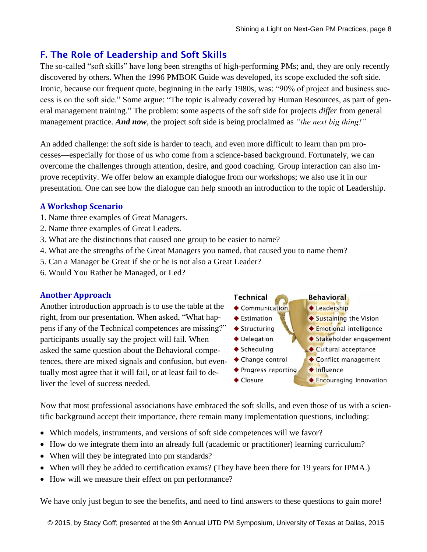## F. The Role of Leadership and Soft Skills

The so-called "soft skills" have long been strengths of high-performing PMs; and, they are only recently discovered by others. When the 1996 PMBOK Guide was developed, its scope excluded the soft side. Ironic, because our frequent quote, beginning in the early 1980s, was: "90% of project and business success is on the soft side." Some argue: "The topic is already covered by Human Resources, as part of general management training." The problem: some aspects of the soft side for projects *differ* from general management practice. *And now*, the project soft side is being proclaimed as *"the next big thing!"*

An added challenge: the soft side is harder to teach, and even more difficult to learn than pm processes—especially for those of us who come from a science-based background. Fortunately, we can overcome the challenges through attention, desire, and good coaching. Group interaction can also improve receptivity. We offer below an example dialogue from our workshops; we also use it in our presentation. One can see how the dialogue can help smooth an introduction to the topic of Leadership.

#### **A Workshop Scenario**

- 1. Name three examples of Great Managers.
- 2. Name three examples of Great Leaders.
- 3. What are the distinctions that caused one group to be easier to name?
- 4. What are the strengths of the Great Managers you named, that caused you to name them?
- 5. Can a Manager be Great if she or he is not also a Great Leader?
- 6. Would You Rather be Managed, or Led?

#### **Another Approach**

Another introduction approach is to use the table at the right, from our presentation. When asked, "What happens if any of the Technical competences are missing?" participants usually say the project will fail. When asked the same question about the Behavioral competences, there are mixed signals and confusion, but eventually most agree that it will fail, or at least fail to deliver the level of success needed.



Now that most professional associations have embraced the soft skills, and even those of us with a scientific background accept their importance, there remain many implementation questions, including:

- Which models, instruments, and versions of soft side competences will we favor?
- How do we integrate them into an already full (academic or practitioner) learning curriculum?
- When will they be integrated into pm standards?
- When will they be added to certification exams? (They have been there for 19 years for IPMA.)
- How will we measure their effect on pm performance?

We have only just begun to see the benefits, and need to find answers to these questions to gain more!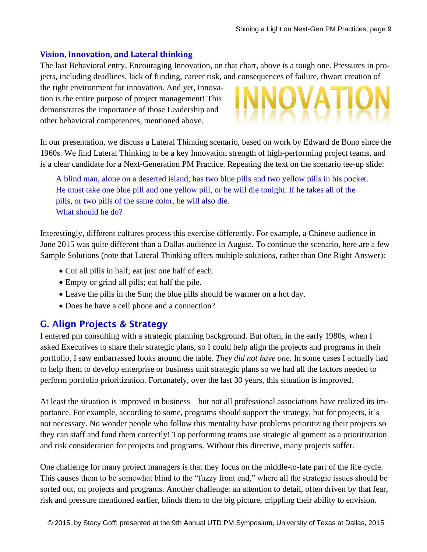#### **Vision, Innovation, and Lateral thinking**

The last Behavioral entry, Encouraging Innovation, on that chart, above is a tough one. Pressures in projects, including deadlines, lack of funding, career risk, and consequences of failure, thwart creation of

the right environment for innovation. And yet, Innovation is the entire purpose of project management! This demonstrates the importance of those Leadership and other behavioral competences, mentioned above.

In our presentation, we discuss a Lateral Thinking scenario, based on work by Edward de Bono since the 1960s. We find Lateral Thinking to be a key Innovation strength of high-performing project teams, and is a clear candidate for a Next-Generation PM Practice. Repeating the text on the scenario tee-up slide:

A blind man, alone on a deserted island, has two blue pills and two yellow pills in his pocket. He must take one blue pill and one yellow pill, or he will die tonight. If he takes all of the pills, or two pills of the same color, he will also die. What should he do?

Interestingly, different cultures process this exercise differently. For example, a Chinese audience in June 2015 was quite different than a Dallas audience in August. To continue the scenario, here are a few Sample Solutions (note that Lateral Thinking offers multiple solutions, rather than One Right Answer):

- Cut all pills in half; eat just one half of each.
- Empty or grind all pills; eat half the pile.
- Leave the pills in the Sun; the blue pills should be warmer on a hot day.
- Does he have a cell phone and a connection?

### G. Align Projects & Strategy

I entered pm consulting with a strategic planning background. But often, in the early 1980s, when I asked Executives to share their strategic plans, so I could help align the projects and programs in their portfolio, I saw embarrassed looks around the table. *They did not have one.* In some cases I actually had to help them to develop enterprise or business unit strategic plans so we had all the factors needed to perform portfolio prioritization. Fortunately, over the last 30 years, this situation is improved.

At least the situation is improved in business—but not all professional associations have realized its importance. For example, according to some, programs should support the strategy, but for projects, it's not necessary. No wonder people who follow this mentality have problems prioritizing their projects so they can staff and fund them correctly! Top performing teams use strategic alignment as a prioritization and risk consideration for projects and programs. Without this directive, many projects suffer.

One challenge for many project managers is that they focus on the middle-to-late part of the life cycle. This causes them to be somewhat blind to the "fuzzy front end," where all the strategic issues should be sorted out, on projects and programs. Another challenge: an attention to detail, often driven by that fear, risk and pressure mentioned earlier, blinds them to the big picture, crippling their ability to envision.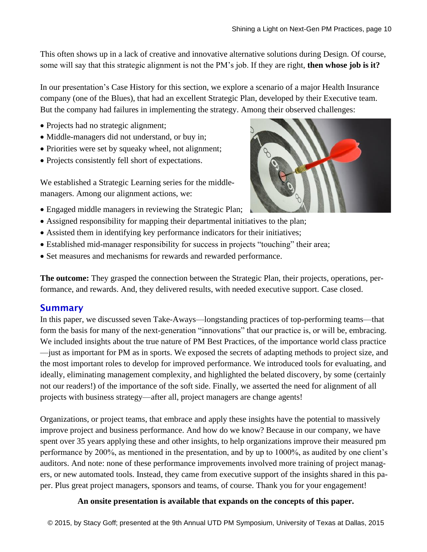This often shows up in a lack of creative and innovative alternative solutions during Design. Of course, some will say that this strategic alignment is not the PM's job. If they are right, **then whose job is it?**

In our presentation's Case History for this section, we explore a scenario of a major Health Insurance company (one of the Blues), that had an excellent Strategic Plan, developed by their Executive team. But the company had failures in implementing the strategy. Among their observed challenges:

- Projects had no strategic alignment;
- Middle-managers did not understand, or buy in;
- Priorities were set by squeaky wheel, not alignment;
- Projects consistently fell short of expectations.

We established a Strategic Learning series for the middlemanagers. Among our alignment actions, we:



- Engaged middle managers in reviewing the Strategic Plan;
- Assigned responsibility for mapping their departmental initiatives to the plan;
- Assisted them in identifying key performance indicators for their initiatives;
- Established mid-manager responsibility for success in projects "touching" their area;
- Set measures and mechanisms for rewards and rewarded performance.

**The outcome:** They grasped the connection between the Strategic Plan, their projects, operations, performance, and rewards. And, they delivered results, with needed executive support. Case closed.

### **Summary**

In this paper, we discussed seven Take-Aways—longstanding practices of top-performing teams—that form the basis for many of the next-generation "innovations" that our practice is, or will be, embracing. We included insights about the true nature of PM Best Practices, of the importance world class practice —just as important for PM as in sports. We exposed the secrets of adapting methods to project size, and the most important roles to develop for improved performance. We introduced tools for evaluating, and ideally, eliminating management complexity, and highlighted the belated discovery, by some (certainly not our readers!) of the importance of the soft side. Finally, we asserted the need for alignment of all projects with business strategy—after all, project managers are change agents!

Organizations, or project teams, that embrace and apply these insights have the potential to massively improve project and business performance. And how do we know? Because in our company, we have spent over 35 years applying these and other insights, to help organizations improve their measured pm performance by 200%, as mentioned in the presentation, and by up to 1000%, as audited by one client's auditors. And note: none of these performance improvements involved more training of project managers, or new automated tools. Instead, they came from executive support of the insights shared in this paper. Plus great project managers, sponsors and teams, of course. Thank you for your engagement!

#### **An onsite presentation is available that expands on the concepts of this paper.**